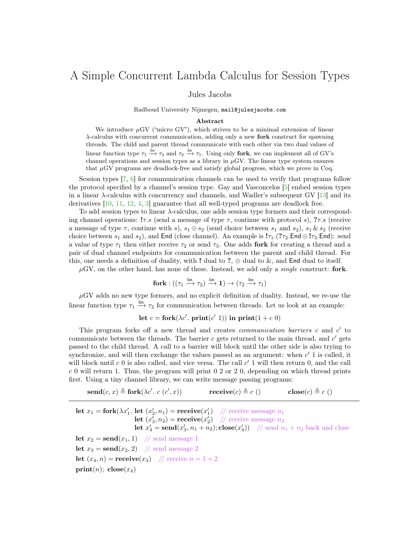## A Simple Concurrent Lambda Calculus for Session Types

Jules Jacobs

Radboud University Nijmegen, mail@julesjacobs.com

## Abstract

We introduce  $\mu$ GV ("micro GV"), which strives to be a minimal extension of linear  $\lambda$ -calculus with concurrent communication, adding only a new **fork** construct for spawning threads. The child and parent thread communicate with each other via two dual values of linear function type  $\tau_1 \stackrel{\text{lin}}{\rightarrow} \tau_2$  and  $\tau_2 \stackrel{\text{lin}}{\rightarrow} \tau_1$ . Using only **fork**, we can implement all of GV's channel operations and session types as a library in  $\mu$ GV. The linear type system ensures that  $\mu$ GV programs are deadlock-free and satisfy global progress, which we prove in Coq.

Session types [\[7,](#page-2-0) [6\]](#page-2-1) for communication channels can be used to verify that programs follow the protocol specified by a channel's session type. Gay and Vasconcelos [\[5\]](#page-2-2) embed session types in a linear  $\lambda$ -calculus with concurrency and channels, and Wadler's subsequent GV [\[13\]](#page-2-3) and its derivatives [\[10,](#page-2-4) [11,](#page-2-5) [12,](#page-2-6) [4,](#page-2-7) [3\]](#page-2-8) guarantee that all well-typed programs are deadlock free.

To add session types to linear λ-calculus, one adds session type formers and their corresponding channel operations:  $! \tau.s$  (send a message of type  $\tau$ , continue with protocol s),  $? \tau.s$  (receive a message of type  $\tau$ , continue with s),  $s_1 \oplus s_2$  (send choice between  $s_1$  and  $s_2$ ),  $s_1 \& s_2$  (receive choice between  $s_1$  and  $s_2$ ), and End (close channel). An example is  $1\tau_1$ .  $(7\tau_2$ .End  $\oplus 1\tau_3$ .End): send a value of type  $\tau_1$  then either receive  $\tau_2$  or send  $\tau_3$ . One adds fork for creating a thread and a pair of dual channel endpoints for communication between the parent and child thread. For this, one needs a definition of duality, with ! dual to ?,  $\oplus$  dual to &, and End dual to itself.

 $\mu$ GV, on the other hand, has none of these. Instead, we add only a *single* construct: **fork**.

$$
\mathbf{fork} : ((\tau_1 \xrightarrow{\mathsf{lin}} \tau_2) \xrightarrow{\mathsf{lin}} \mathbf{1}) \to (\tau_2 \xrightarrow{\mathsf{lin}} \tau_1)
$$

 $\mu$ GV adds no new type formers, and no explicit definition of duality. Instead, we re-use the linear function type  $\tau_1 \stackrel{\text{lin}}{\longrightarrow} \tau_2$  for communication between threads. Let us look at an example:

let  $c =$  fork $(\lambda c'$ . print $(c' 1)$ ) in print $(1 + c 0)$ 

This program forks off a new thread and creates *communication barriers*  $c$  and  $c'$  to communicate between the threads. The barrier  $c$  gets returned to the main thread, and  $c'$  gets passed to the child thread. A call to a barrier will block until the other side is also trying to synchronize, and will then exchange the values passed as an argument: when  $c'$  1 is called, it will block until  $c\ 0$  is also called, and vice versa. The call  $c'$  1 will then return 0, and the call  $c$  0 will return 1. Thus, the program will print 0 2 or 2 0, depending on which thread prints first. Using a tiny channel library, we can write message passing programs:

 $\mathbf{send}(c, x) \triangleq \mathbf{fork}(\lambda c'. c (c')$  $\mathbf{receive}(c) \triangleq c$  () close $(c) \triangleq c$  ()

let  $x_1 =$  fork $(\lambda x_1'.$  let  $(x_2', n_1) =$  receive $(x_1')$  // receive message  $n_1$ **let**  $(x'_3, n_2)$  = **receive** $(x'_2)$  // receive message  $n_2$ **let**  $x'_4 = \text{send}(x'_3, n_1 + n_2)$ ; **close** $(x'_4)$ ) // send  $n_1 + n_2$  back and close let  $x_2 = \text{send}(x_1, 1)$  // send message 1 let  $x_3 = \text{send}(x_2, 2)$  // send message 2 **let**  $(x_4, n)$  = **receive** $(x_3)$  // **receive**  $n = 1 + 2$ print(n);  $\text{close}(x_4)$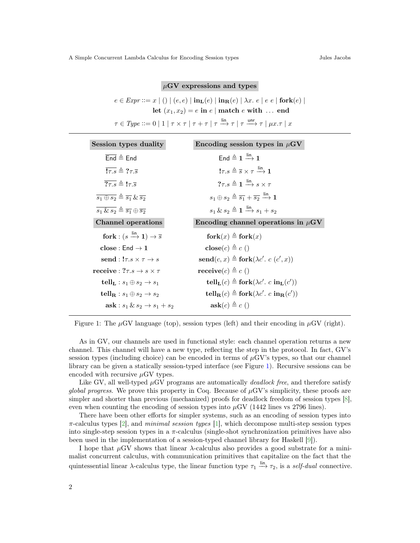$\mu$ GV expressions and types

<span id="page-1-0"></span>
$$
e \in \text{Expr} ::= x \mid () \mid (e, e) \mid \text{in}_{\mathbf{L}}(e) \mid \text{in}_{\mathbf{R}}(e) \mid \lambda x. e \mid e e \mid \text{fork}(e) \mid
$$
  
let  $(x_1, x_2) = e$  in  $e \mid \text{match } e$  with ... end  
 $\tau \in \text{Type} ::= 0 \mid 1 \mid \tau \times \tau \mid \tau + \tau \mid \tau \xrightarrow{\text{lin}} \tau \mid \tau \xrightarrow{\text{unr}} \tau \mid \mu x. \tau \mid x$ 

| Session types duality                                                   | Encoding session types in $\mu$ GV                                                                            |
|-------------------------------------------------------------------------|---------------------------------------------------------------------------------------------------------------|
| $\overline{\text{End}} \triangleq$ End                                  | End $\triangleq$ 1 $\stackrel{\text{lin}}{\longrightarrow}$ 1                                                 |
| $\overline{! \tau s} \triangleq ? \tau \overline{s}$                    | $! \tau . s \triangleq \overline{s} \times \tau \stackrel{\text{lin}}{\longrightarrow} 1$                     |
| $\overline{? \tau s} \triangleq 1 \tau \overline{s}$                    | $? \tau.s \triangleq 1 \stackrel{\text{lin}}{\longrightarrow} s \times \tau$                                  |
| $\overline{s_1 \oplus s_2} \triangleq \overline{s_1} \& \overline{s_2}$ | $s_1 \oplus s_2 \triangleq \overline{s_1} + \overline{s_2} \stackrel{\text{lin}}{\longrightarrow} \mathbf{1}$ |
| $\overline{s_1 \& s_2} \triangleq \overline{s_1} \oplus \overline{s_2}$ | $s_1 \& s_2 \triangleq 1 \stackrel{\text{lin}}{\longrightarrow} s_1 + s_2$                                    |
| <b>Channel operations</b>                                               | Encoding channel operations in $\mu$ GV                                                                       |
|                                                                         |                                                                                                               |
| fork : $(s \xrightarrow{\text{lin}} 1) \rightarrow \overline{s}$        | $fork(x) \triangleq fork(x)$                                                                                  |
| $close:$ End $\rightarrow 1$                                            | $\mathbf{close}(c) \triangleq c()$                                                                            |
| send : $!\tau.s \times \tau \rightarrow s$                              | $\mathbf{send}(c, x) \triangleq \mathbf{fork}(\lambda c'. c (c', x))$                                         |
| receive : $? \tau . s \rightarrow s \times \tau$                        | receive $(c) \triangleq c$ ()                                                                                 |
| tell <sub>L</sub> : $s_1 \oplus s_2 \rightarrow s_1$                    | $\text{tell}_L(c) \triangleq \text{fork}(\lambda c'. c \text{ in}_L(c'))$                                     |
| tell <sub>R</sub> : $s_1 \oplus s_2 \rightarrow s_2$                    | $\text{tell}_{\mathbf{R}}(c) \triangleq \text{fork}(\lambda c'. c \text{ in}_{\mathbf{R}}(c'))$               |

Figure 1: The  $\mu$ GV language (top), session types (left) and their encoding in  $\mu$ GV (right).

As in GV, our channels are used in functional style: each channel operation returns a new channel. This channel will have a new type, reflecting the step in the protocol. In fact, GV's session types (including choice) can be encoded in terms of  $\mu$ GV's types, so that our channel library can be given a statically session-typed interface (see Figure [1\)](#page-1-0). Recursive sessions can be encoded with recursive  $\mu$ GV types.

Like GV, all well-typed  $\mu$ GV programs are automatically *deallock free*, and therefore satisfy *global progress.* We prove this property in Coq. Because of  $\mu$ GV's simplicity, these proofs are simpler and shorter than previous (mechanized) proofs for deadlock freedom of session types [\[8\]](#page-2-9), even when counting the encoding of session types into  $\mu$ GV (1442 lines vs 2796 lines).

There have been other efforts for simpler systems, such as an encoding of session types into  $\pi$ -calculus types [\[2\]](#page-2-10), and *minimal session types* [\[1\]](#page-2-11), which decompose multi-step session types into single-step session types in a  $\pi$ -calculus (single-shot synchronization primitives have also been used in the implementation of a session-typed channel library for Haskell [\[9\]](#page-2-12)).

I hope that  $\mu$ GV shows that linear  $\lambda$ -calculus also provides a good substrate for a minimalist concurrent calculus, with communication primitives that capitalize on the fact that the quintessential linear  $\lambda$ -calculus type, the linear function type  $\tau_1 \stackrel{\text{lin}}{\rightarrow} \tau_2$ , is a *self-dual* connective.